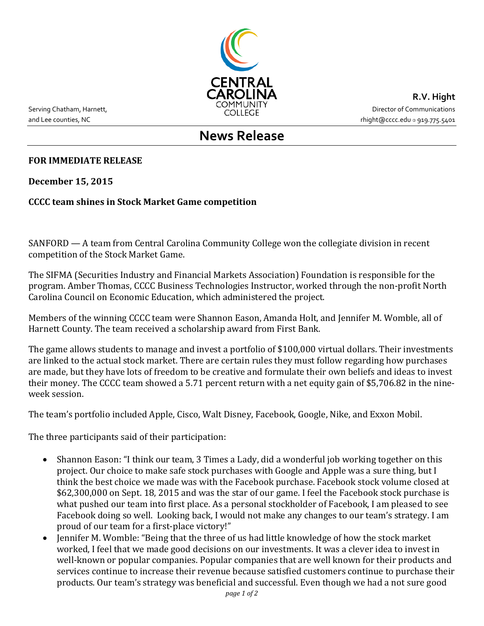

and Lee counties, NC and Lee counties, NC and Lee counties, NC

**R.V. Hight** Serving Chatham, Harnett, The Serving Communications COMMUNITY<br>COLLEGE The COLLEGE Services of Communications

# **News Release**

#### **FOR IMMEDIATE RELEASE**

**December 15, 2015**

### **CCCC team shines in Stock Market Game competition**

SANFORD — A team from Central Carolina Community College won the collegiate division in recent competition of the Stock Market Game.

The SIFMA (Securities Industry and Financial Markets Association) Foundation is responsible for the program. Amber Thomas, CCCC Business Technologies Instructor, worked through the non-profit North Carolina Council on Economic Education, which administered the project.

Members of the winning CCCC team were Shannon Eason, Amanda Holt, and Jennifer M. Womble, all of Harnett County. The team received a scholarship award from First Bank.

The game allows students to manage and invest a portfolio of \$100,000 virtual dollars. Their investments are linked to the actual stock market. There are certain rules they must follow regarding how purchases are made, but they have lots of freedom to be creative and formulate their own beliefs and ideas to invest their money. The CCCC team showed a 5.71 percent return with a net equity gain of \$5,706.82 in the nineweek session.

The team's portfolio included Apple, Cisco, Walt Disney, Facebook, Google, Nike, and Exxon Mobil.

The three participants said of their participation:

- Shannon Eason: "I think our team, 3 Times a Lady, did a wonderful job working together on this project. Our choice to make safe stock purchases with Google and Apple was a sure thing, but I think the best choice we made was with the Facebook purchase. Facebook stock volume closed at \$62,300,000 on Sept. 18, 2015 and was the star of our game. I feel the Facebook stock purchase is what pushed our team into first place. As a personal stockholder of Facebook, I am pleased to see Facebook doing so well. Looking back, I would not make any changes to our team's strategy. I am proud of our team for a first-place victory!"
- Jennifer M. Womble: "Being that the three of us had little knowledge of how the stock market worked, I feel that we made good decisions on our investments. It was a clever idea to invest in well-known or popular companies. Popular companies that are well known for their products and services continue to increase their revenue because satisfied customers continue to purchase their products. Our team's strategy was beneficial and successful. Even though we had a not sure good